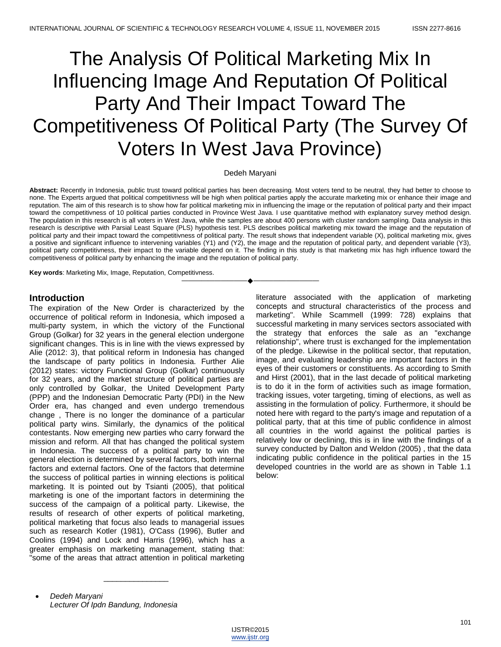# The Analysis Of Political Marketing Mix In Influencing Image And Reputation Of Political Party And Their Impact Toward The Competitiveness Of Political Party (The Survey Of Voters In West Java Province)

#### Dedeh Maryani

**Abstract:** Recently in Indonesia, public trust toward political parties has been decreasing. Most voters tend to be neutral, they had better to choose to none. The Experts argued that political competitivness will be high when political parties apply the accurate marketing mix or enhance their image and reputation. The aim of this research is to show how far political marketing mix in influencing the image or the reputation of political party and their impact toward the competitivness of 10 political parties conducted in Province West Java. I use quantitative method with explanatory survey method design. The population in this research is all voters in West Java, while the samples are about 400 persons with cluster random sampling. Data analysis in this research is descriptive with Parsial Least Square (PLS) hypothesis test. PLS describes political marketing mix toward the image and the reputation of political party and their impact toward the competitivness of political party. The result shows that independent variable (X), political marketing mix, gives a positive and significant influence to intervening variables (Y1) and (Y2), the image and the reputation of political party, and dependent variable (Y3), political party competitivness, their impact to the variable depend on it. The finding in this study is that marketing mix has high influence toward the competitiveness of political party by enhancing the image and the reputation of political party.

————————————————————

**Key words**: Marketing Mix, Image, Reputation, Competitivness.

## **Introduction**

The expiration of the New Order is characterized by the occurrence of political reform in Indonesia, which imposed a multi-party system, in which the victory of the Functional Group (Golkar) for 32 years in the general election undergone significant changes. This is in line with the views expressed by Alie (2012: 3), that political reform in Indonesia has changed the landscape of party politics in Indonesia. Further Alie (2012) states: victory Functional Group (Golkar) continuously for 32 years, and the market structure of political parties are only controlled by Golkar, the United Development Party (PPP) and the Indonesian Democratic Party (PDI) in the New Order era, has changed and even undergo tremendous change , There is no longer the dominance of a particular political party wins. Similarly, the dynamics of the political contestants. Now emerging new parties who carry forward the mission and reform. All that has changed the political system in Indonesia. The success of a political party to win the general election is determined by several factors, both internal factors and external factors. One of the factors that determine the success of political parties in winning elections is political marketing. It is pointed out by Tsianti (2005), that political marketing is one of the important factors in determining the success of the campaign of a political party. Likewise, the results of research of other experts of political marketing, political marketing that focus also leads to managerial issues such as research Kotler (1981), O'Cass (1996), Butler and Coolins (1994) and Lock and Harris (1996), which has a greater emphasis on marketing management, stating that: "some of the areas that attract attention in political marketing

\_\_\_\_\_\_\_\_\_\_\_\_\_\_\_

literature associated with the application of marketing concepts and structural characteristics of the process and marketing". While Scammell (1999: 728) explains that successful marketing in many services sectors associated with the strategy that enforces the sale as an "exchange relationship", where trust is exchanged for the implementation of the pledge. Likewise in the political sector, that reputation, image, and evaluating leadership are important factors in the eyes of their customers or constituents. As according to Smith and Hirst (2001), that in the last decade of political marketing is to do it in the form of activities such as image formation, tracking issues, voter targeting, timing of elections, as well as assisting in the formulation of policy. Furthermore, it should be noted here with regard to the party's image and reputation of a political party, that at this time of public confidence in almost all countries in the world against the political parties is relatively low or declining, this is in line with the findings of a survey conducted by Dalton and Weldon (2005) , that the data indicating public confidence in the political parties in the 15 developed countries in the world are as shown in Table 1.1 below:



*Dedeh Maryani Lecturer Of Ipdn Bandung, Indonesia*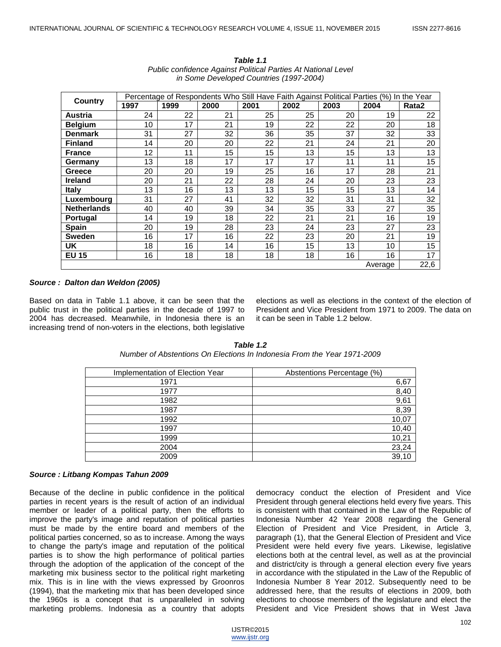| Country            | Percentage of Respondents Who Still Have Faith Against Political Parties (%) In the Year |      |      |      |      |      |         |       |
|--------------------|------------------------------------------------------------------------------------------|------|------|------|------|------|---------|-------|
|                    | 1997                                                                                     | 1999 | 2000 | 2001 | 2002 | 2003 | 2004    | Rata2 |
| Austria            | 24                                                                                       | 22   | 21   | 25   | 25   | 20   | 19      | 22    |
| <b>Belgium</b>     | 10                                                                                       | 17   | 21   | 19   | 22   | 22   | 20      | 18    |
| <b>Denmark</b>     | 31                                                                                       | 27   | 32   | 36   | 35   | 37   | 32      | 33    |
| <b>Finland</b>     | 14                                                                                       | 20   | 20   | 22   | 21   | 24   | 21      | 20    |
| <b>France</b>      | 12                                                                                       | 11   | 15   | 15   | 13   | 15   | 13      | 13    |
| Germany            | 13                                                                                       | 18   | 17   | 17   | 17   | 11   | 11      | 15    |
| Greece             | 20                                                                                       | 20   | 19   | 25   | 16   | 17   | 28      | 21    |
| <b>Ireland</b>     | 20                                                                                       | 21   | 22   | 28   | 24   | 20   | 23      | 23    |
| <b>Italy</b>       | 13                                                                                       | 16   | 13   | 13   | 15   | 15   | 13      | 14    |
| Luxembourg         | 31                                                                                       | 27   | 41   | 32   | 32   | 31   | 31      | 32    |
| <b>Netherlands</b> | 40                                                                                       | 40   | 39   | 34   | 35   | 33   | 27      | 35    |
| <b>Portugal</b>    | 14                                                                                       | 19   | 18   | 22   | 21   | 21   | 16      | 19    |
| <b>Spain</b>       | 20                                                                                       | 19   | 28   | 23   | 24   | 23   | 27      | 23    |
| Sweden             | 16                                                                                       | 17   | 16   | 22   | 23   | 20   | 21      | 19    |
| UK                 | 18                                                                                       | 16   | 14   | 16   | 15   | 13   | 10      | 15    |
| <b>EU 15</b>       | 16                                                                                       | 18   | 18   | 18   | 18   | 16   | 16      | 17    |
|                    |                                                                                          |      |      |      |      |      | Average | 22,6  |

*Table 1.1 Public confidence Against Political Parties At National Level in Some Developed Countries (1997-2004)*

#### *Source : Dalton dan Weldon (2005)*

Based on data in Table 1.1 above, it can be seen that the public trust in the political parties in the decade of 1997 to 2004 has decreased. Meanwhile, in Indonesia there is an increasing trend of non-voters in the elections, both legislative

elections as well as elections in the context of the election of President and Vice President from 1971 to 2009. The data on it can be seen in Table 1.2 below.

| Implementation of Election Year | Abstentions Percentage (%) |
|---------------------------------|----------------------------|
| 1971                            | 6,67                       |
| 1977                            | 8,40                       |
| 1982                            | 9,61                       |
| 1987                            | 8,39                       |
| 1992                            | 10,07                      |
| 1997                            | 10,40                      |
| 1999                            | 10,21                      |
| 2004                            | 23,24                      |
| 2009                            | 39,10                      |

*Table 1.2 Number of Abstentions On Elections In Indonesia From the Year 1971-2009*

#### *Source : Litbang Kompas Tahun 2009*

Because of the decline in public confidence in the political parties in recent years is the result of action of an individual member or leader of a political party, then the efforts to improve the party's image and reputation of political parties must be made by the entire board and members of the political parties concerned, so as to increase. Among the ways to change the party's image and reputation of the political parties is to show the high performance of political parties through the adoption of the application of the concept of the marketing mix business sector to the political right marketing mix. This is in line with the views expressed by Groonros (1994), that the marketing mix that has been developed since the 1960s is a concept that is unparalleled in solving marketing problems. Indonesia as a country that adopts democracy conduct the election of President and Vice President through general elections held every five years. This is consistent with that contained in the Law of the Republic of Indonesia Number 42 Year 2008 regarding the General Election of President and Vice President, in Article 3, paragraph (1), that the General Election of President and Vice President were held every five years. Likewise, legislative elections both at the central level, as well as at the provincial and district/city is through a general election every five years in accordance with the stipulated in the Law of the Republic of Indonesia Number 8 Year 2012. Subsequently need to be addressed here, that the results of elections in 2009, both elections to choose members of the legislature and elect the President and Vice President shows that in West Java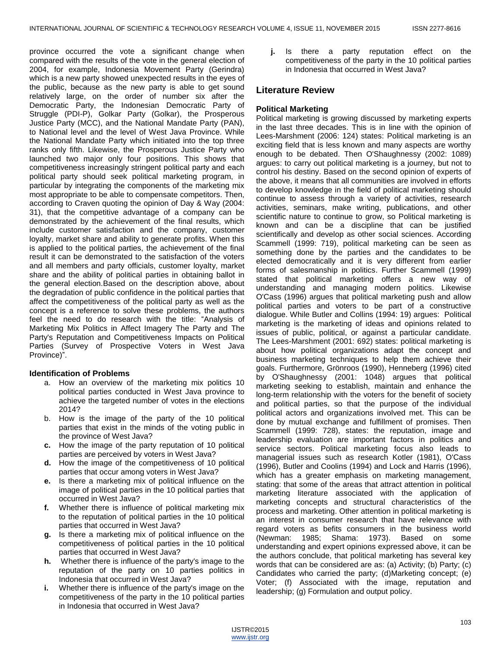province occurred the vote a significant change when compared with the results of the vote in the general election of 2004, for example, Indonesia Movement Party (Gerindra) which is a new party showed unexpected results in the eyes of the public, because as the new party is able to get sound relatively large, on the order of number six after the Democratic Party, the Indonesian Democratic Party of Struggle (PDI-P), Golkar Party (Golkar), the Prosperous Justice Party (MCC), and the National Mandate Party (PAN), to National level and the level of West Java Province. While the National Mandate Party which initiated into the top three ranks only fifth. Likewise, the Prosperous Justice Party who launched two major only four positions. This shows that competitiveness increasingly stringent political party and each political party should seek political marketing program, in particular by integrating the components of the marketing mix most appropriate to be able to compensate competitors. Then, according to Craven quoting the opinion of Day & Way (2004: 31), that the competitive advantage of a company can be demonstrated by the achievement of the final results, which include customer satisfaction and the company, customer loyalty, market share and ability to generate profits. When this is applied to the political parties, the achievement of the final result it can be demonstrated to the satisfaction of the voters and all members and party officials, customer loyalty, market share and the ability of political parties in obtaining ballot in the general election.Based on the description above, about the degradation of public confidence in the political parties that affect the competitiveness of the political party as well as the concept is a reference to solve these problems, the authors feel the need to do research with the title: "Analysis of Marketing Mix Politics in Affect Imagery The Party and The Party's Reputation and Competitiveness Impacts on Political Parties (Survey of Prospective Voters in West Java Province)".

#### **Identification of Problems**

- a. How an overview of the marketing mix politics 10 political parties conducted in West Java province to achieve the targeted number of votes in the elections 2014?
- b. How is the image of the party of the 10 political parties that exist in the minds of the voting public in the province of West Java?
- **c.** How the image of the party reputation of 10 political parties are perceived by voters in West Java?
- **d.** How the image of the competitiveness of 10 political parties that occur among voters in West Java?
- **e.** Is there a marketing mix of political influence on the image of political parties in the 10 political parties that occurred in West Java?
- **f.** Whether there is influence of political marketing mix to the reputation of political parties in the 10 political parties that occurred in West Java?
- **g.** Is there a marketing mix of political influence on the competitiveness of political parties in the 10 political parties that occurred in West Java?
- **h.** Whether there is influence of the party's image to the reputation of the party on 10 parties politics in Indonesia that occurred in West Java?
- **i.** Whether there is influence of the party's image on the competitiveness of the party in the 10 political parties in Indonesia that occurred in West Java?

**j.** Is there a party reputation effect on the competitiveness of the party in the 10 political parties in Indonesia that occurred in West Java?

# **Literature Review**

## **Political Marketing**

Political marketing is growing discussed by marketing experts in the last three decades. This is in line with the opinion of Lees-Marshment (2006: 124) states: Political marketing is an exciting field that is less known and many aspects are worthy enough to be debated. Then O'Shaughnessy (2002: 1089) argues: to carry out political marketing is a journey, but not to control his destiny. Based on the second opinion of experts of the above, it means that all communities are involved in efforts to develop knowledge in the field of political marketing should continue to assess through a variety of activities, research activities, seminars, make writing, publications, and other scientific nature to continue to grow, so Political marketing is known and can be a discipline that can be justified scientifically and develop as other social sciences. According Scammell (1999: 719), political marketing can be seen as something done by the parties and the candidates to be elected democratically and it is very different from earlier forms of salesmanship in politics. Further Scammell (1999) stated that political marketing offers a new way of understanding and managing modern politics. Likewise O'Cass (1996) argues that political marketing push and allow political parties and voters to be part of a constructive dialogue. While Butler and Collins (1994: 19) argues: Political marketing is the marketing of ideas and opinions related to issues of public, political, or against a particular candidate. The Lees-Marshment (2001: 692) states: political marketing is about how political organizations adapt the concept and business marketing techniques to help them achieve their goals. Furthermore, Grönroos (1990), Henneberg (1996) cited by O'Shaughnessy (2001: 1048) argues that political marketing seeking to establish, maintain and enhance the long-term relationship with the voters for the benefit of society and political parties, so that the purpose of the individual political actors and organizations involved met. This can be done by mutual exchange and fulfillment of promises. Then Scammell (1999: 728), states: the reputation, image and leadership evaluation are important factors in politics and service sectors. Political marketing focus also leads to managerial issues such as research Kotler (1981), O'Cass (1996), Butler and Coolins (1994) and Lock and Harris (1996), which has a greater emphasis on marketing management, stating: that some of the areas that attract attention in political marketing literature associated with the application of marketing concepts and structural characteristics of the process and marketing. Other attention in political marketing is an interest in consumer research that have relevance with regard voters as befits consumers in the business world (Newman: 1985; Shama: 1973). Based on some understanding and expert opinions expressed above, it can be the authors conclude, that political marketing has several key words that can be considered are as: (a) Activity; (b) Party; (c) Candidates who carried the party; (d)Marketing concept; (e) Voter; (f) Associated with the image, reputation and leadership; (g) Formulation and output policy.

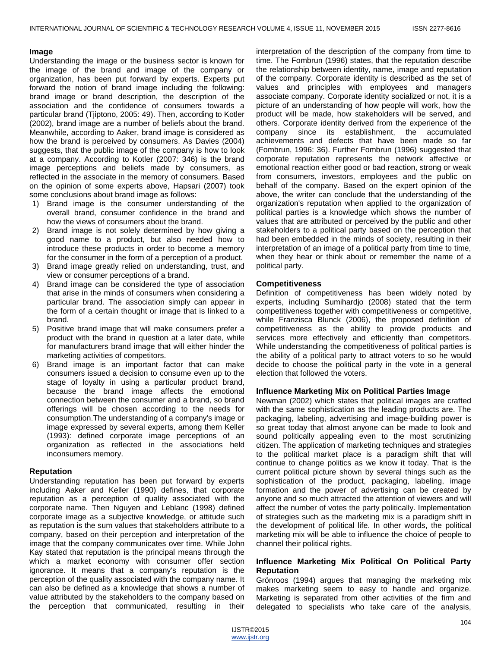#### **Image**

Understanding the image or the business sector is known for the image of the brand and image of the company or organization, has been put forward by experts. Experts put forward the notion of brand image including the following: brand image or brand description, the description of the association and the confidence of consumers towards a particular brand (Tjiptono, 2005: 49). Then, according to Kotler (2002), brand image are a number of beliefs about the brand. Meanwhile, according to Aaker, brand image is considered as how the brand is perceived by consumers. As Davies (2004) suggests, that the public image of the company is how to look at a company. According to Kotler (2007: 346) is the brand image perceptions and beliefs made by consumers, as reflected in the associate in the memory of consumers. Based on the opinion of some experts above, Hapsari (2007) took some conclusions about brand image as follows:

- 1) Brand image is the consumer understanding of the overall brand, consumer confidence in the brand and how the views of consumers about the brand.
- 2) Brand image is not solely determined by how giving a good name to a product, but also needed how to introduce these products in order to become a memory for the consumer in the form of a perception of a product.
- 3) Brand image greatly relied on understanding, trust, and view or consumer perceptions of a brand.
- 4) Brand image can be considered the type of association that arise in the minds of consumers when considering a particular brand. The association simply can appear in the form of a certain thought or image that is linked to a brand.
- 5) Positive brand image that will make consumers prefer a product with the brand in question at a later date, while for manufacturers brand image that will either hinder the marketing activities of competitors.
- 6) Brand image is an important factor that can make consumers issued a decision to consume even up to the stage of loyalty in using a particular product brand, because the brand image affects the emotional connection between the consumer and a brand, so brand offerings will be chosen according to the needs for consumption.The understanding of a company's image or image expressed by several experts, among them Keller (1993): defined corporate image perceptions of an organization as reflected in the associations held inconsumers memory.

## **Reputation**

Understanding reputation has been put forward by experts including Aaker and Keller (1990) defines, that corporate reputation as a perception of quality associated with the corporate name. Then Nguyen and Leblanc (1998) defined corporate image as a subjective knowledge, or attitude such as reputation is the sum values that stakeholders attribute to a company, based on their perception and interpretation of the image that the company communicates over time. While John Kay stated that reputation is the principal means through the which a market economy with consumer offer section ignorance. It means that a company's reputation is the perception of the quality associated with the company name. It can also be defined as a knowledge that shows a number of value attributed by the stakeholders to the company based on the perception that communicated, resulting in their

interpretation of the description of the company from time to time. The Fombrun (1996) states, that the reputation describe the relationship between identity, name, image and reputation of the company. Corporate identity is described as the set of values and principles with employees and managers associate company. Corporate identity socialized or not, it is a picture of an understanding of how people will work, how the product will be made, how stakeholders will be served, and others. Corporate identity derived from the experience of the company since its establishment, the accumulated achievements and defects that have been made so far (Fombrun, 1996: 36). Further Fombrun (1996) suggested that corporate reputation represents the network affective or emotional reaction either good or bad reaction, strong or weak from consumers, investors, employees and the public on behalf of the company. Based on the expert opinion of the above, the writer can conclude that the understanding of the organization's reputation when applied to the organization of political parties is a knowledge which shows the number of values that are attributed or perceived by the public and other stakeholders to a political party based on the perception that had been embedded in the minds of society, resulting in their interpretation of an image of a political party from time to time, when they hear or think about or remember the name of a political party.

#### **Competitiveness**

Definition of competitiveness has been widely noted by experts, including Sumihardjo (2008) stated that the term competitiveness together with competitiveness or competitive, while Franzisca Blunck (2006), the proposed definition of competitiveness as the ability to provide products and services more effectively and efficiently than competitors. While understanding the competitiveness of political parties is the ability of a political party to attract voters to so he would decide to choose the political party in the vote in a general election that followed the voters.

## **Influence Marketing Mix on Political Parties Image**

Newman (2002) which states that political images are crafted with the same sophistication as the leading products are. The packaging, labeling, advertising and image-building power is so great today that almost anyone can be made to look and sound politically appealing even to the most scrutinizing citizen. The application of marketing techniques and strategies to the political market place is a paradigm shift that will continue to change politics as we know it today. That is the current political picture shown by several things such as the sophistication of the product, packaging, labeling, image formation and the power of advertising can be created by anyone and so much attracted the attention of viewers and will affect the number of votes the party politically. Implementation of strategies such as the marketing mix is a paradigm shift in the development of political life. In other words, the political marketing mix will be able to influence the choice of people to channel their political rights.

## **Influence Marketing Mix Political On Political Party Reputation**

Grönroos (1994) argues that managing the marketing mix makes marketing seem to easy to handle and organize. Marketing is separated from other activities of the firm and delegated to specialists who take care of the analysis,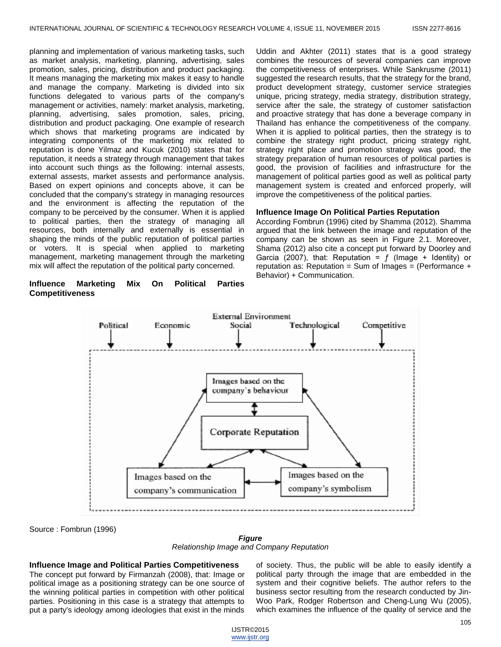planning and implementation of various marketing tasks, such as market analysis, marketing, planning, advertising, sales promotion, sales, pricing, distribution and product packaging. It means managing the marketing mix makes it easy to handle and manage the company. Marketing is divided into six functions delegated to various parts of the company's management or activities, namely: market analysis, marketing, planning, advertising, sales promotion, sales, pricing, distribution and product packaging. One example of research which shows that marketing programs are indicated by integrating components of the marketing mix related to reputation is done Yilmaz and Kucuk (2010) states that for reputation, it needs a strategy through management that takes into account such things as the following: internal assests, external assests, market assests and performance analysis. Based on expert opinions and concepts above, it can be concluded that the company's strategy in managing resources and the environment is affecting the reputation of the company to be perceived by the consumer. When it is applied to political parties, then the strategy of managing all resources, both internally and externally is essential in shaping the minds of the public reputation of political parties or voters. It is special when applied to marketing management, marketing management through the marketing mix will affect the reputation of the political party concerned.

## **Influence Marketing Mix On Political Parties Competitiveness**

Uddin and Akhter (2011) states that is a good strategy combines the resources of several companies can improve the competitiveness of enterprises. While Sankrusme (2011) suggested the research results, that the strategy for the brand, product development strategy, customer service strategies unique, pricing strategy, media strategy, distribution strategy, service after the sale, the strategy of customer satisfaction and proactive strategy that has done a beverage company in Thailand has enhance the competitiveness of the company. When it is applied to political parties, then the strategy is to combine the strategy right product, pricing strategy right, strategy right place and promotion strategy was good, the strategy preparation of human resources of political parties is good, the provision of facilities and infrastructure for the management of political parties good as well as political party management system is created and enforced properly, will improve the competitiveness of the political parties.

#### **Influence Image On Political Parties Reputation**

According Fombrun (1996) cited by Shamma (2012). Shamma argued that the link between the image and reputation of the company can be shown as seen in Figure 2.1. Moreover, Shama (2012) also cite a concept put forward by Doorley and Garcia (2007), that: Reputation =  $f$  (Image + Identity) or reputation as: Reputation = Sum of Images = (Performance  $+$ Behavior) + Communication.



Source : Fombrun (1996)

*Figure Relationship Image and Company Reputation*

**Influence Image and Political Parties Competitiveness**

The concept put forward by Firmanzah (2008), that: Image or political image as a positioning strategy can be one source of the winning political parties in competition with other political parties. Positioning in this case is a strategy that attempts to put a party's ideology among ideologies that exist in the minds of society. Thus, the public will be able to easily identify a political party through the image that are embedded in the system and their cognitive beliefs. The author refers to the business sector resulting from the research conducted by Jin-Woo Park, Rodger Robertson and Cheng-Lung Wu (2005), which examines the influence of the quality of service and the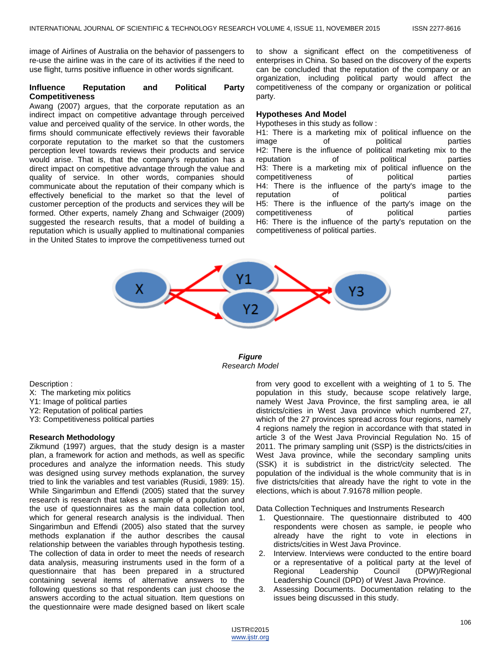image of Airlines of Australia on the behavior of passengers to re-use the airline was in the care of its activities if the need to use flight, turns positive influence in other words significant.

## **Influence Reputation and Political Party Competitiveness**

Awang (2007) argues, that the corporate reputation as an indirect impact on competitive advantage through perceived value and perceived quality of the service. In other words, the firms should communicate effectively reviews their favorable corporate reputation to the market so that the customers perception level towards reviews their products and service would arise. That is, that the company's reputation has a direct impact on competitive advantage through the value and quality of service. In other words, companies should communicate about the reputation of their company which is effectively beneficial to the market so that the level of customer perception of the products and services they will be formed. Other experts, namely Zhang and Schwaiger (2009) suggested the research results, that a model of building a reputation which is usually applied to multinational companies in the United States to improve the competitiveness turned out to show a significant effect on the competitiveness of enterprises in China. So based on the discovery of the experts can be concluded that the reputation of the company or an organization, including political party would affect the competitiveness of the company or organization or political party.

## **Hypotheses And Model**

Hypotheses in this study as follow :

H1: There is a marketing mix of political influence on the image of political parties H2: There is the influence of political marketing mix to the reputation of political parties H3: There is a marketing mix of political influence on the competitiveness of political parties H4: There is the influence of the party's image to the reputation of the political parties reputation of political parties H5: There is the influence of the party's image on the competitiveness of political parties H6: There is the influence of the party's reputation on the competitiveness of political parties.



*Figure Research Model*

Description :

- X: The marketing mix politics
- Y1: Image of political parties
- Y2: Reputation of political parties
- Y3: Competitiveness political parties

#### **Research Methodology**

Zikmund (1997) argues, that the study design is a master plan, a framework for action and methods, as well as specific procedures and analyze the information needs. This study was designed using survey methods explanation, the survey tried to link the variables and test variables (Rusidi, 1989: 15). While Singarimbun and Effendi (2005) stated that the survey research is research that takes a sample of a population and the use of questionnaires as the main data collection tool, which for general research analysis is the individual. Then Singarimbun and Effendi (2005) also stated that the survey methods explanation if the author describes the causal relationship between the variables through hypothesis testing. The collection of data in order to meet the needs of research data analysis, measuring instruments used in the form of a questionnaire that has been prepared in a structured containing several items of alternative answers to the following questions so that respondents can just choose the answers according to the actual situation. Item questions on the questionnaire were made designed based on likert scale

from very good to excellent with a weighting of 1 to 5. The population in this study, because scope relatively large, namely West Java Province, the first sampling area, ie all districts/cities in West Java province which numbered 27, which of the 27 provinces spread across four regions, namely 4 regions namely the region in accordance with that stated in article 3 of the West Java Provincial Regulation No. 15 of 2011. The primary sampling unit (SSP) is the districts/cities in West Java province, while the secondary sampling units (SSK) it is subdistrict in the district/city selected. The population of the individual is the whole community that is in five districts/cities that already have the right to vote in the elections, which is about 7.91678 million people.

Data Collection Techniques and Instruments Research

- 1. Questionnaire. The questionnaire distributed to 400 respondents were chosen as sample, ie people who already have the right to vote in elections in districts/cities in West Java Province.
- 2. Interview. Interviews were conducted to the entire board or a representative of a political party at the level of Regional Leadership Council (DPW)/Regional Leadership Council (DPD) of West Java Province.
- 3. Assessing Documents. Documentation relating to the issues being discussed in this study.

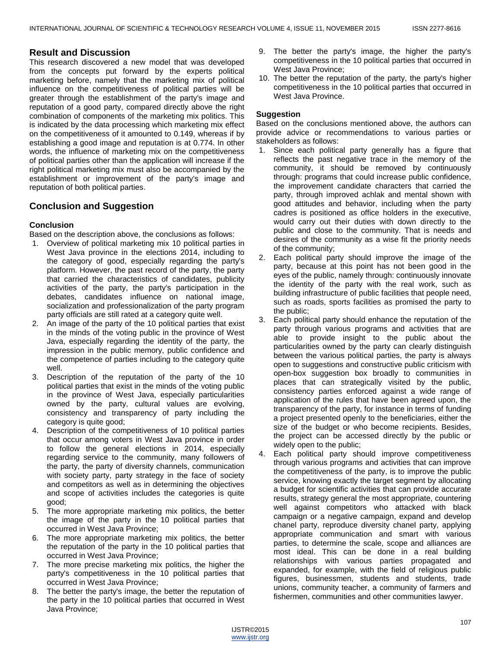# **Result and Discussion**

This research discovered a new model that was developed from the concepts put forward by the experts political marketing before, namely that the marketing mix of political influence on the competitiveness of political parties will be greater through the establishment of the party's image and reputation of a good party, compared directly above the right combination of components of the marketing mix politics. This is indicated by the data processing which marketing mix effect on the competitiveness of it amounted to 0.149, whereas if by establishing a good image and reputation is at 0.774. In other words, the influence of marketing mix on the competitiveness of political parties other than the application will increase if the right political marketing mix must also be accompanied by the establishment or improvement of the party's image and reputation of both political parties.

# **Conclusion and Suggestion**

# **Conclusion**

Based on the description above, the conclusions as follows:

- 1. Overview of political marketing mix 10 political parties in West Java province in the elections 2014, including to the category of good, especially regarding the party's platform. However, the past record of the party, the party that carried the characteristics of candidates, publicity activities of the party, the party's participation in the debates, candidates influence on national image, socialization and professionalization of the party program party officials are still rated at a category quite well.
- 2. An image of the party of the 10 political parties that exist in the minds of the voting public in the province of West Java, especially regarding the identity of the party, the impression in the public memory, public confidence and the competence of parties including to the category quite well.
- 3. Description of the reputation of the party of the 10 political parties that exist in the minds of the voting public in the province of West Java, especially particularities owned by the party, cultural values are evolving, consistency and transparency of party including the category is quite good;
- 4. Description of the competitiveness of 10 political parties that occur among voters in West Java province in order to follow the general elections in 2014, especially regarding service to the community, many followers of the party, the party of diversity channels, communication with society party, party strategy in the face of society and competitors as well as in determining the objectives and scope of activities includes the categories is quite good;
- 5. The more appropriate marketing mix politics, the better the image of the party in the 10 political parties that occurred in West Java Province;
- 6. The more appropriate marketing mix politics, the better the reputation of the party in the 10 political parties that occurred in West Java Province;
- 7. The more precise marketing mix politics, the higher the party's competitiveness in the 10 political parties that occurred in West Java Province;
- 8. The better the party's image, the better the reputation of the party in the 10 political parties that occurred in West Java Province;
- 9. The better the party's image, the higher the party's competitiveness in the 10 political parties that occurred in West Java Province;
- 10. The better the reputation of the party, the party's higher competitiveness in the 10 political parties that occurred in West Java Province.

# **Suggestion**

Based on the conclusions mentioned above, the authors can provide advice or recommendations to various parties or stakeholders as follows:

- 1. Since each political party generally has a figure that reflects the past negative trace in the memory of the community, it should be removed by continuously through: programs that could increase public confidence, the improvement candidate characters that carried the party, through improved achlak and mental shown with good attitudes and behavior, including when the party cadres is positioned as office holders in the executive, would carry out their duties with down directly to the public and close to the community. That is needs and desires of the community as a wise fit the priority needs of the community;
- 2. Each political party should improve the image of the party, because at this point has not been good in the eyes of the public, namely through: continuously innovate the identity of the party with the real work, such as building infrastructure of public facilities that people need, such as roads, sports facilities as promised the party to the public;
- 3. Each political party should enhance the reputation of the party through various programs and activities that are able to provide insight to the public about the particularities owned by the party can clearly distinguish between the various political parties, the party is always open to suggestions and constructive public criticism with open-box suggestion box broadly to communities in places that can strategically visited by the public, consistency parties enforced against a wide range of application of the rules that have been agreed upon, the transparency of the party, for instance in terms of funding a project presented openly to the beneficiaries, either the size of the budget or who become recipients. Besides, the project can be accessed directly by the public or widely open to the public;
- 4. Each political party should improve competitiveness through various programs and activities that can improve the competitiveness of the party, is to improve the public service, knowing exactly the target segment by allocating a budget for scientific activities that can provide accurate results, strategy general the most appropriate, countering well against competitors who attacked with black campaign or a negative campaign, expand and develop chanel party, reproduce diversity chanel party, applying appropriate communication and smart with various parties, to determine the scale, scope and alliances are most ideal. This can be done in a real building relationships with various parties propagated and expanded, for example, with the field of religious public figures, businessmen, students and students, trade unions, community teacher, a community of farmers and fishermen, communities and other communities lawyer.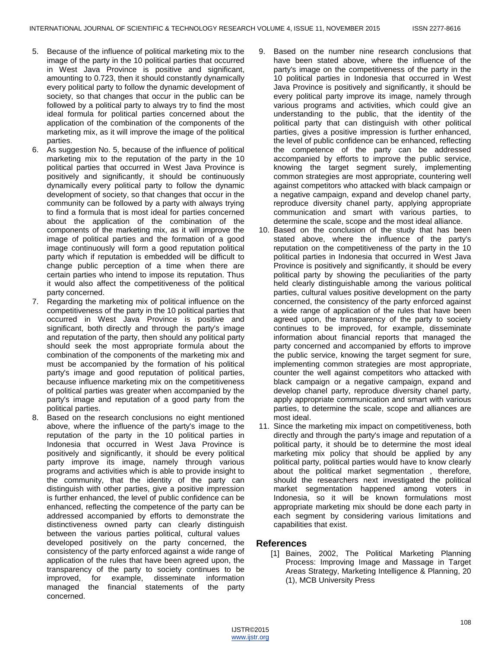- 5. Because of the influence of political marketing mix to the image of the party in the 10 political parties that occurred in West Java Province is positive and significant, amounting to 0.723, then it should constantly dynamically every political party to follow the dynamic development of society, so that changes that occur in the public can be followed by a political party to always try to find the most ideal formula for political parties concerned about the application of the combination of the components of the marketing mix, as it will improve the image of the political parties.
- 6. As suggestion No. 5, because of the influence of political marketing mix to the reputation of the party in the 10 political parties that occurred in West Java Province is positively and significantly, it should be continuously dynamically every political party to follow the dynamic development of society, so that changes that occur in the community can be followed by a party with always trying to find a formula that is most ideal for parties concerned about the application of the combination of the components of the marketing mix, as it will improve the image of political parties and the formation of a good image continuously will form a good reputation political party which if reputation is embedded will be difficult to change public perception of a time when there are certain parties who intend to impose its reputation. Thus it would also affect the competitiveness of the political party concerned.
- 7. Regarding the marketing mix of political influence on the competitiveness of the party in the 10 political parties that occurred in West Java Province is positive and significant, both directly and through the party's image and reputation of the party, then should any political party should seek the most appropriate formula about the combination of the components of the marketing mix and must be accompanied by the formation of his political party's image and good reputation of political parties, because influence marketing mix on the competitiveness of political parties was greater when accompanied by the party's image and reputation of a good party from the political parties.
- 8. Based on the research conclusions no eight mentioned above, where the influence of the party's image to the reputation of the party in the 10 political parties in Indonesia that occurred in West Java Province is positively and significantly, it should be every political party improve its image, namely through various programs and activities which is able to provide insight to the community, that the identity of the party can distinguish with other parties, give a positive impression is further enhanced, the level of public confidence can be enhanced, reflecting the competence of the party can be addressed accompanied by efforts to demonstrate the distinctiveness owned party can clearly distinguish between the various parties political, cultural values developed positively on the party concerned, the consistency of the party enforced against a wide range of application of the rules that have been agreed upon, the transparency of the party to society continues to be improved, for example, disseminate information managed the financial statements of the party concerned.
- 9. Based on the number nine research conclusions that have been stated above, where the influence of the party's image on the competitiveness of the party in the 10 political parties in Indonesia that occurred in West Java Province is positively and significantly, it should be every political party improve its image, namely through various programs and activities, which could give an understanding to the public, that the identity of the political party that can distinguish with other political parties, gives a positive impression is further enhanced, the level of public confidence can be enhanced, reflecting the competence of the party can be addressed accompanied by efforts to improve the public service, knowing the target segment surely, implementing common strategies are most appropriate, countering well against competitors who attacked with black campaign or a negative campaign, expand and develop chanel party, reproduce diversity chanel party, applying appropriate communication and smart with various parties, to determine the scale, scope and the most ideal alliance.
- 10. Based on the conclusion of the study that has been stated above, where the influence of the party's reputation on the competitiveness of the party in the 10 political parties in Indonesia that occurred in West Java Province is positively and significantly, it should be every political party by showing the peculiarities of the party held clearly distinguishable among the various political parties, cultural values positive development on the party concerned, the consistency of the party enforced against a wide range of application of the rules that have been agreed upon, the transparency of the party to society continues to be improved, for example, disseminate information about financial reports that managed the party concerned and accompanied by efforts to improve the public service, knowing the target segment for sure, implementing common strategies are most appropriate, counter the well against competitors who attacked with black campaign or a negative campaign, expand and develop chanel party, reproduce diversity chanel party, apply appropriate communication and smart with various parties, to determine the scale, scope and alliances are most ideal.
- 11. Since the marketing mix impact on competitiveness, both directly and through the party's image and reputation of a political party, it should be to determine the most ideal marketing mix policy that should be applied by any political party, political parties would have to know clearly about the political market segmentation , therefore, should the researchers next investigated the political market segmentation happened among voters in Indonesia, so it will be known formulations most appropriate marketing mix should be done each party in each segment by considering various limitations and capabilities that exist.

## **References**

[1] Baines, 2002, The Political Marketing Planning Process: Improving Image and Massage in Target Areas Strategy, Marketing Intelligence & Planning, 20 (1), MCB University Press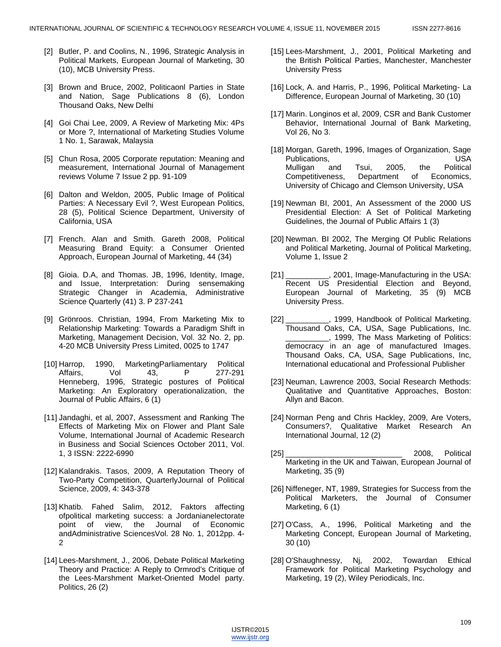- [2] Butler, P. and Coolins, N., 1996, Strategic Analysis in Political Markets, European Journal of Marketing, 30 (10), MCB University Press.
- [3] Brown and Bruce, 2002, Politicaonl Parties in State and Nation, Sage Publications 8 (6), London Thousand Oaks, New Delhi
- [4] Goi Chai Lee, 2009, A Review of Marketing Mix: 4Ps or More ?, International of Marketing Studies Volume 1 No. 1, Sarawak, Malaysia
- [5] Chun Rosa, 2005 Corporate reputation: Meaning and measurement, International Journal of Management reviews Volume 7 Issue 2 pp. 91-109
- [6] Dalton and Weldon, 2005, Public Image of Political Parties: A Necessary Evil ?, West European Politics, 28 (5), Political Science Department, University of California, USA
- [7] French. Alan and Smith. Gareth 2008, Political Measuring Brand Equity: a Consumer Oriented Approach, European Journal of Marketing, 44 (34)
- [8] Gioia. D.A, and Thomas. JB, 1996, Identity, Image, and Issue, Interpretation: During sensemaking Strategic Changer in Academia, Administrative Science Quarterly (41) 3. P 237-241
- [9] Grönroos. Christian, 1994, From Marketing Mix to Relationship Marketing: Towards a Paradigm Shift in Marketing, Management Decision, Vol. 32 No. 2, pp. 4-20 MCB University Press Limited, 0025 to 1747
- [10] Harrop, 1990, MarketingParliamentary Political Affairs, Vol 43, P 277-291 Henneberg, 1996, Strategic postures of Political Marketing: An Exploratory operationalization, the Journal of Public Affairs, 6 (1)
- [11] Jandaghi, et al, 2007, Assessment and Ranking The Effects of Marketing Mix on Flower and Plant Sale Volume, International Journal of Academic Research in Business and Social Sciences October 2011, Vol. 1, 3 ISSN: 2222-6990
- [12] Kalandrakis. Tasos, 2009, A Reputation Theory of Two-Party Competition, QuarterlyJournal of Political Science, 2009, 4: 343-378
- [13] Khatib. Fahed Salim, 2012, Faktors affecting ofpolitical marketing success: a Jordanianelectorate point of view, the Journal of Economic andAdministrative SciencesVol. 28 No. 1, 2012pp. 4- 2
- [14] Lees-Marshment, J., 2006, Debate Political Marketing Theory and Practice: A Reply to Ormrod's Critique of the Lees-Marshment Market-Oriented Model party. Politics, 26 (2)
- [15] Lees-Marshment, J., 2001, Political Marketing and the British Political Parties, Manchester, Manchester University Press
- [16] Lock, A. and Harris, P., 1996, Political Marketing- La Difference, European Journal of Marketing, 30 (10)
- [17] Marin. Longinos et al, 2009, CSR and Bank Customer Behavior, International Journal of Bank Marketing, Vol 26, No 3.
- [18] Morgan, Gareth, 1996, Images of Organization, Sage Publications, USA Mulligan and Tsui, 2005, the Political Competitiveness, Department of Economics, University of Chicago and Clemson University, USA
- [19] Newman BI, 2001, An Assessment of the 2000 US Presidential Election: A Set of Political Marketing Guidelines, the Journal of Public Affairs 1 (3)
- [20] Newman. BI 2002, The Merging Of Public Relations and Political Marketing, Journal of Political Marketing, Volume 1, Issue 2
- [21] [21] . 2001, Image-Manufacturing in the USA: Recent US Presidential Election and Beyond, European Journal of Marketing, 35 (9) MCB University Press.
- [22] \_\_\_\_\_\_\_\_\_\_, 1999, Handbook of Political Marketing. Thousand Oaks, CA, USA, Sage Publications, Inc.  $\Box$ , 1999, The Mass Marketing of Politics: democracy in an age of manufactured Images. Thousand Oaks, CA, USA, Sage Publications, Inc, International educational and Professional Publisher
- [23] Neuman, Lawrence 2003, Social Research Methods: Qualitative and Quantitative Approaches, Boston: Allyn and Bacon.
- [24] Norman Peng and Chris Hackley, 2009, Are Voters, Consumers?, Qualitative Market Research An International Journal, 12 (2)
- [25] \_\_\_\_\_\_\_\_\_\_\_\_\_\_\_\_\_\_\_\_\_\_\_\_\_\_\_ 2008, Political Marketing in the UK and Taiwan, European Journal of Marketing, 35 (9)
- [26] Niffeneger, NT, 1989, Strategies for Success from the Political Marketers, the Journal of Consumer Marketing, 6 (1)
- [27] O'Cass, A., 1996, Political Marketing and the Marketing Concept, European Journal of Marketing, 30 (10)
- [28] O'Shaughnessy, Nj, 2002, Towardan Ethical Framework for Political Marketing Psychology and Marketing, 19 (2), Wiley Periodicals, Inc.

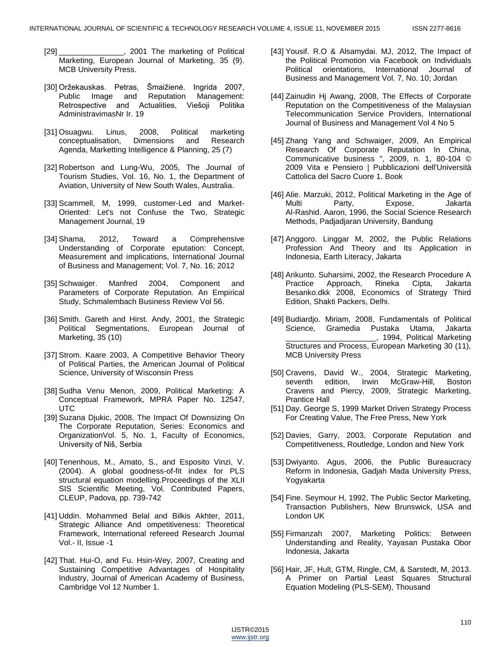- [29] \_\_\_\_\_\_\_\_\_\_\_\_\_\_\_\_, 2001 The marketing of Political Marketing, European Journal of Marketing, 35 (9). MCB University Press.
- [30] Oržekauskas. Petras, Šmaižienė. Ingrida 2007, Public Image and Reputation Management: Retrospective and Actualities, Viešoji Politika AdministravimasNr Ir. 19
- [31] Osuagwu. Linus, 2008, Political marketing<br>conceptualisation, Dimensions and Research conceptualisation, Dimensions and Research Agenda, Marketting Intelligence & Planning, 25 (7)
- [32] Robertson and Lung-Wu, 2005, The Journal of Tourism Studies, Vol. 16, No. 1, the Department of Aviation, University of New South Wales, Australia.
- [33] Scammell, M, 1999, customer-Led and Market-Oriented: Let's not Confuse the Two, Strategic Management Journal, 19
- [34] Shama, 2012, Toward a Comprehensive Understanding of Corporate eputation: Concept, Measurement and implications, International Journal of Business and Management; Vol. 7, No. 16; 2012
- [35] Schwaiger. Manfred 2004, Component and Parameters of Corporate Reputation. An Empirical Study, Schmalembach Business Review Vol 56.
- [36] Smith. Gareth and Hirst. Andy, 2001, the Strategic Political Segmentations, European Journal of Marketing, 35 (10)
- [37] Strom. Kaare 2003, A Competitive Behavior Theory of Political Parties, the American Journal of Political Science, University of Wisconsin Press
- [38] Sudha Venu Menon, 2009, Political Marketing: A Conceptual Framework, MPRA Paper No. 12547, UTC
- [39] Suzana Djukic, 2008, The Impact Of Downsizing On The Corporate Reputation, Series: Economics and OrganizationVol. 5, No. 1, Faculty of Economics, University of Niš, Serbia
- [40] Tenenhous, M., Amato, S., and Esposito Vinzi, V. (2004). A global goodness-of-fit index for PLS structural equation modelling.Proceedings of the XLII SIS Scientific Meeting, Vol. Contributed Papers, CLEUP, Padova, pp. 739-742
- [41] Uddin. Mohammed Belal and Bilkis Akhter, 2011, Strategic Alliance And ompetitiveness: Theoretical Framework, International refereed Research Journal Vol.- II, Issue -1
- [42] That. Hui-O, and Fu. Hsin-Wey, 2007, Creating and Sustaining Competitive Advantages of Hospitality Industry, Journal of American Academy of Business, Cambridge Vol 12 Number 1.
- [43] Yousif. R.O & Alsamydai. MJ, 2012, The Impact of the Political Promotion via Facebook on Individuals Political orientations, International Journal of Business and Management Vol. 7, No. 10; Jordan
- [44] Zainudin Hj Awang, 2008, The Effects of Corporate Reputation on the Competitiveness of the Malaysian Telecommunication Service Providers, International Journal of Business and Management Vol 4 No 5
- [45] Zhang Yang and Schwaiger, 2009, An Empirical Research Of Corporate Reputation In China, Communicative business ", 2009, n. 1, 80-104 © 2009 Vita e Pensiero | Pubblicazioni dell'Università Cattolica del Sacro Cuore 1. Book
- [46] Alie. Marzuki, 2012, Political Marketing in the Age of Multi Party, Expose, Jakarta Al-Rashid. Aaron, 1996, the Social Science Research Methods, Padjadjaran University, Bandung
- [47] Anggoro. Linggar M, 2002, the Public Relations Profession And Theory and Its Application in Indonesia, Earth Literacy, Jakarta
- [48] Arikunto. Suharsimi, 2002, the Research Procedure A Practice Approach, Rineka Cipta, Jakarta Besanko.dkk 2008, Economics of Strategy Third Edition, Shakti Packers, Delhi.
- [49] Budiardjo. Miriam, 2008, Fundamentals of Political Science, Gramedia Pustaka Utama, Jakarta \_\_\_\_\_\_\_\_\_\_\_\_\_\_\_\_\_\_\_\_\_, 1994, Political Marketing Structures and Process, European Marketing 30 (11), MCB University Press
- [50] Cravens, David W., 2004, Strategic Marketing, seventh edition, Irwin McGraw-Hill, Boston Cravens and Piercy, 2009, Strategic Marketing, Prantice Hall
- [51] Day. George S, 1999 Market Driven Strategy Process For Creating Value, The Free Press, New York
- [52] Davies, Garry, 2003, Corporate Reputation and Competitiveness, Routledge, London and New York
- [53] Dwiyanto. Agus, 2006, the Public Bureaucracy Reform in Indonesia, Gadjah Mada University Press, Yogyakarta
- [54] Fine. Seymour H, 1992, The Public Sector Marketing, Transaction Publishers, New Brunswick, USA and London UK
- [55] Firmanzah 2007, Marketing Politics: Between Understanding and Reality, Yayasan Pustaka Obor Indonesia, Jakarta
- [56] Hair, JF, Hult, GTM, Ringle, CM, & Sarstedt, M, 2013. A Primer on Partial Least Squares Structural Equation Modeling (PLS-SEM), Thousand